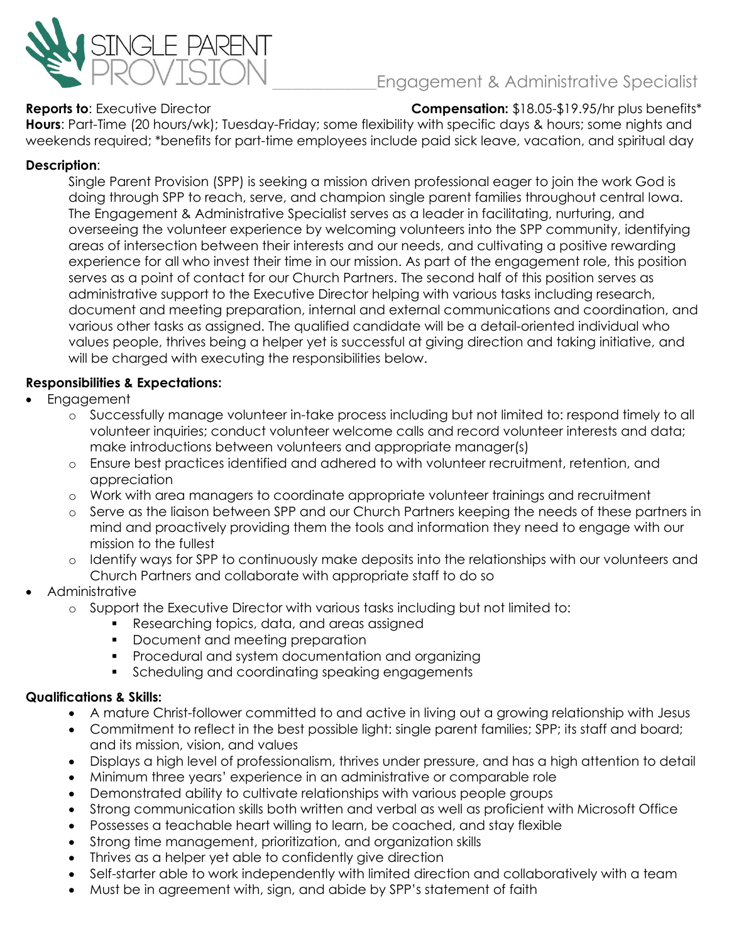

# \_\_\_\_\_\_\_\_\_\_\_\_\_\_\_\_Engagement & Administrative Specialist

**Reports to**: Executive Director **Compensation:** \$18.05-\$19.95/hr plus benefits\*

**Hours**: Part-Time (20 hours/wk); Tuesday-Friday; some flexibility with specific days & hours; some nights and weekends required; \*benefits for part-time employees include paid sick leave, vacation, and spiritual day

## **Description**:

Single Parent Provision (SPP) is seeking a mission driven professional eager to join the work God is doing through SPP to reach, serve, and champion single parent families throughout central Iowa. The Engagement & Administrative Specialist serves as a leader in facilitating, nurturing, and overseeing the volunteer experience by welcoming volunteers into the SPP community, identifying areas of intersection between their interests and our needs, and cultivating a positive rewarding experience for all who invest their time in our mission. As part of the engagement role, this position serves as a point of contact for our Church Partners. The second half of this position serves as administrative support to the Executive Director helping with various tasks including research, document and meeting preparation, internal and external communications and coordination, and various other tasks as assigned. The qualified candidate will be a detail-oriented individual who values people, thrives being a helper yet is successful at giving direction and taking initiative, and will be charged with executing the responsibilities below.

## **Responsibilities & Expectations:**

- Engagement
	- o Successfully manage volunteer in-take process including but not limited to: respond timely to all volunteer inquiries; conduct volunteer welcome calls and record volunteer interests and data; make introductions between volunteers and appropriate manager(s)
	- o Ensure best practices identified and adhered to with volunteer recruitment, retention, and appreciation
	- o Work with area managers to coordinate appropriate volunteer trainings and recruitment
	- o Serve as the liaison between SPP and our Church Partners keeping the needs of these partners in mind and proactively providing them the tools and information they need to engage with our mission to the fullest
	- o Identify ways for SPP to continuously make deposits into the relationships with our volunteers and Church Partners and collaborate with appropriate staff to do so
- Administrative
	- o Support the Executive Director with various tasks including but not limited to:
		- Researching topics, data, and areas assigned
		- Document and meeting preparation
		- Procedural and system documentation and organizing
		- Scheduling and coordinating speaking engagements

#### **Qualifications & Skills:**

- A mature Christ-follower committed to and active in living out a growing relationship with Jesus
- Commitment to reflect in the best possible light: single parent families; SPP; its staff and board; and its mission, vision, and values
- Displays a high level of professionalism, thrives under pressure, and has a high attention to detail
- Minimum three years' experience in an administrative or comparable role
- Demonstrated ability to cultivate relationships with various people groups
- Strong communication skills both written and verbal as well as proficient with Microsoft Office
- Possesses a teachable heart willing to learn, be coached, and stay flexible
- Strong time management, prioritization, and organization skills
- Thrives as a helper yet able to confidently give direction
- Self-starter able to work independently with limited direction and collaboratively with a team
- Must be in agreement with, sign, and abide by SPP's statement of faith